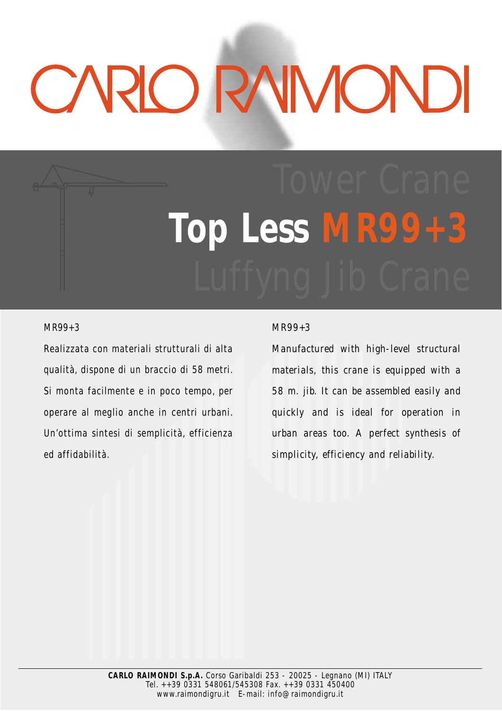# CARLO RAIMOND

# Top Less MR99

### MR99+3

Realizzata con materiali strutturali di alta qualità, dispone di un braccio di 58 metri. Si monta facilmente e in poco tempo, per operare al meglio anche in centri urbani. Un'ottima sintesi di semplicità, efficienza ed affidabilità.

### *MR99+3*

*Manufactured with high-level structural materials, this crane is equipped with a 58 m. jib. It can be assembled easily and quickly and is ideal for operation in urban areas too. A perfect synthesis of simplicity, efficiency and reliability.*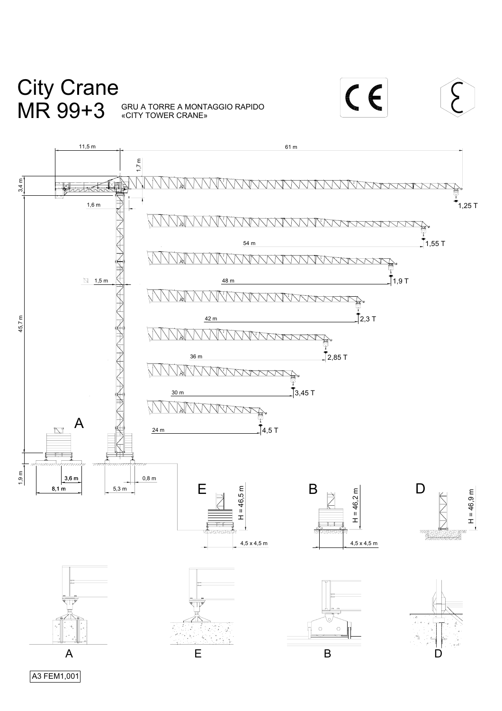# City Crane MR 99+3

«CITY TOWER CRANE» GRU A TORRE A MONTAGGIO RAPIDO CE



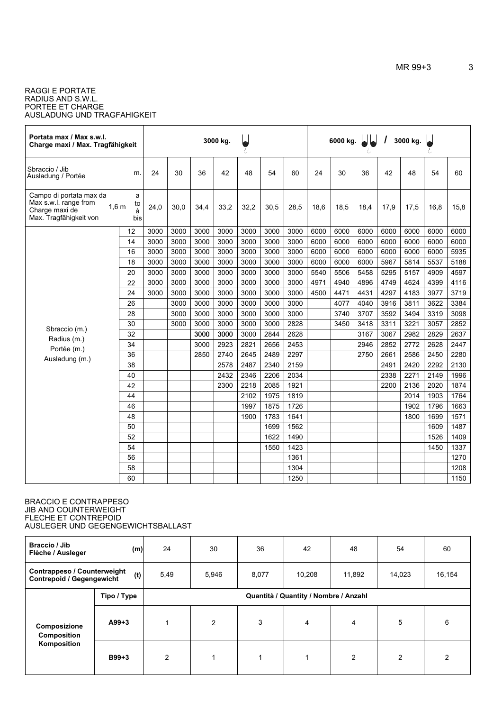### AUSLADUNG UND TRAGFAHIGKEIT RAGGI E PORTATE RADIUS AND S.W.L. PORTEE ET CHARGE

| Portata max / Max s.w.l.<br>Charge maxi / Max. Tragfähigkeit                                 |                                         |      |      |      | 3000 kg. | λ,   |      |      |      | 6000 kg. |      |      | 3000 kg. | ł,   |      |
|----------------------------------------------------------------------------------------------|-----------------------------------------|------|------|------|----------|------|------|------|------|----------|------|------|----------|------|------|
| Sbraccio / Jib<br>Ausladung / Portée                                                         | m.                                      | 24   | 30   | 36   | 42       | 48   | 54   | 60   | 24   | 30       | 36   | 42   | 48       | 54   | 60   |
| Campo di portata max da<br>Max s.w.l. range from<br>Charge maxi de<br>Max. Tragfähigkeit von | a<br>to<br>1.6 <sub>m</sub><br>à<br>bis | 24,0 | 30,0 | 34,4 | 33,2     | 32,2 | 30,5 | 28,5 | 18,6 | 18,5     | 18,4 | 17,9 | 17,5     | 16,8 | 15,8 |
|                                                                                              | 12                                      | 3000 | 3000 | 3000 | 3000     | 3000 | 3000 | 3000 | 6000 | 6000     | 6000 | 6000 | 6000     | 6000 | 6000 |
|                                                                                              | 14                                      | 3000 | 3000 | 3000 | 3000     | 3000 | 3000 | 3000 | 6000 | 6000     | 6000 | 6000 | 6000     | 6000 | 6000 |
|                                                                                              | 16                                      | 3000 | 3000 | 3000 | 3000     | 3000 | 3000 | 3000 | 6000 | 6000     | 6000 | 6000 | 6000     | 6000 | 5935 |
|                                                                                              | 18                                      | 3000 | 3000 | 3000 | 3000     | 3000 | 3000 | 3000 | 6000 | 6000     | 6000 | 5967 | 5814     | 5537 | 5188 |
|                                                                                              | 20                                      | 3000 | 3000 | 3000 | 3000     | 3000 | 3000 | 3000 | 5540 | 5506     | 5458 | 5295 | 5157     | 4909 | 4597 |
|                                                                                              | 22                                      | 3000 | 3000 | 3000 | 3000     | 3000 | 3000 | 3000 | 4971 | 4940     | 4896 | 4749 | 4624     | 4399 | 4116 |
|                                                                                              | 24                                      | 3000 | 3000 | 3000 | 3000     | 3000 | 3000 | 3000 | 4500 | 4471     | 4431 | 4297 | 4183     | 3977 | 3719 |
|                                                                                              | 26                                      |      | 3000 | 3000 | 3000     | 3000 | 3000 | 3000 |      | 4077     | 4040 | 3916 | 3811     | 3622 | 3384 |
|                                                                                              | 28                                      |      | 3000 | 3000 | 3000     | 3000 | 3000 | 3000 |      | 3740     | 3707 | 3592 | 3494     | 3319 | 3098 |
| Sbraccio (m.)                                                                                | 30                                      |      | 3000 | 3000 | 3000     | 3000 | 3000 | 2828 |      | 3450     | 3418 | 3311 | 3221     | 3057 | 2852 |
| Radius (m.)                                                                                  | 32                                      |      |      | 3000 | 3000     | 3000 | 2844 | 2628 |      |          | 3167 | 3067 | 2982     | 2829 | 2637 |
| Portée (m.)                                                                                  | 34                                      |      |      | 3000 | 2923     | 2821 | 2656 | 2453 |      |          | 2946 | 2852 | 2772     | 2628 | 2447 |
| Ausladung (m.)                                                                               | 36                                      |      |      | 2850 | 2740     | 2645 | 2489 | 2297 |      |          | 2750 | 2661 | 2586     | 2450 | 2280 |
|                                                                                              | 38                                      |      |      |      | 2578     | 2487 | 2340 | 2159 |      |          |      | 2491 | 2420     | 2292 | 2130 |
|                                                                                              | 40                                      |      |      |      | 2432     | 2346 | 2206 | 2034 |      |          |      | 2338 | 2271     | 2149 | 1996 |
|                                                                                              | 42                                      |      |      |      | 2300     | 2218 | 2085 | 1921 |      |          |      | 2200 | 2136     | 2020 | 1874 |
|                                                                                              | 44                                      |      |      |      |          | 2102 | 1975 | 1819 |      |          |      |      | 2014     | 1903 | 1764 |
|                                                                                              | 46                                      |      |      |      |          | 1997 | 1875 | 1726 |      |          |      |      | 1902     | 1796 | 1663 |
|                                                                                              | 48                                      |      |      |      |          | 1900 | 1783 | 1641 |      |          |      |      | 1800     | 1699 | 1571 |
|                                                                                              | 50                                      |      |      |      |          |      | 1699 | 1562 |      |          |      |      |          | 1609 | 1487 |
|                                                                                              | 52                                      |      |      |      |          |      | 1622 | 1490 |      |          |      |      |          | 1526 | 1409 |
|                                                                                              | 54                                      |      |      |      |          |      | 1550 | 1423 |      |          |      |      |          | 1450 | 1337 |
|                                                                                              | 56                                      |      |      |      |          |      |      | 1361 |      |          |      |      |          |      | 1270 |
|                                                                                              | 58                                      |      |      |      |          |      |      | 1304 |      |          |      |      |          |      | 1208 |
|                                                                                              | 60                                      |      |      |      |          |      |      | 1250 |      |          |      |      |          |      | 1150 |

### AUSLEGER UND GEGENGEWICHTSBALLAST BRACCIO E CONTRAPPESO JIB AND COUNTERWEIGHT FLECHE ET CONTREPOID

| <b>Braccio / Jib</b><br>Flèche / Ausleger                                     | (m)         | 24   | 30                                    | 36    | 42     | 48     | 54             | 60     |  |  |  |
|-------------------------------------------------------------------------------|-------------|------|---------------------------------------|-------|--------|--------|----------------|--------|--|--|--|
| <b>Contrappeso / Counterweight</b><br>(t)<br><b>Contrepoid / Gegengewicht</b> |             | 5,49 | 5,946                                 | 8,077 | 10,208 | 11,892 | 14,023         | 16,154 |  |  |  |
| Composizione<br>Composition<br>Komposition                                    | Tipo / Type |      | Quantità / Quantity / Nombre / Anzahl |       |        |        |                |        |  |  |  |
|                                                                               | $A99+3$     |      | 2                                     | 3     | 4      | 4      | 5              | 6      |  |  |  |
|                                                                               | $B99+3$     | 2    | 1                                     | 1     |        | 2      | $\mathfrak{p}$ | 2      |  |  |  |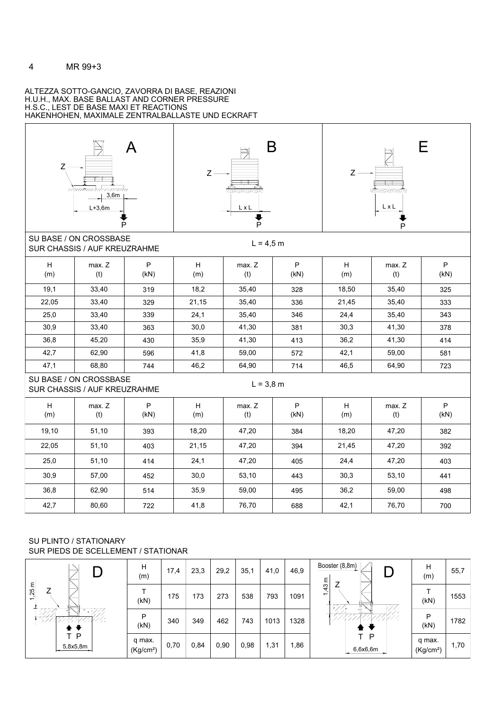### ALTEZZA SOTTO-GANCIO, ZAVORRA DI BASE, REAZIONI HAKENHOHEN, MAXIMALE ZENTRALBALLASTE UND ECKRAFT H.S.C., LEST DE BASE MAXI ET REACTIONS H.U.H., MAX. BASE BALLAST AND CORNER PRESSURE







SU BASE / ON CROSSBASE

 $L = 4,5 m$ 

|          | SUR CHASSIS / AUF KREUZRAHME                           |           |          |               | $\cdot$ , $\sim$ $\cdot$ $\cdot$ $\cdot$ |          |               |           |
|----------|--------------------------------------------------------|-----------|----------|---------------|------------------------------------------|----------|---------------|-----------|
| н<br>(m) | max. Z<br>(t)                                          | P<br>(kN) | H<br>(m) | max. Z<br>(t) | P<br>(kN)                                | н<br>(m) | max. Z<br>(t) | P<br>(kN) |
| 19,1     | 33,40                                                  | 319       | 18,2     | 35,40         | 328                                      | 18,50    | 35,40         | 325       |
| 22,05    | 33,40                                                  | 329       | 21,15    | 35,40         | 336                                      | 21,45    | 35,40         | 333       |
| 25,0     | 33,40                                                  | 339       | 24,1     | 35,40         | 346                                      | 24,4     | 35,40         | 343       |
| 30,9     | 33,40                                                  | 363       | 30,0     | 41,30         | 381                                      | 30,3     | 41,30         | 378       |
| 36,8     | 45,20                                                  | 430       | 35,9     | 41,30         | 413                                      | 36,2     | 41,30         | 414       |
| 42,7     | 62,90                                                  | 596       | 41,8     | 59,00         | 572                                      | 42,1     | 59,00         | 581       |
| 47,1     | 68,80                                                  | 744       | 46,2     | 64,90         | 714                                      | 46,5     | 64,90         | 723       |
|          | SU BASE / ON CROSSBASE<br>SUR CHASSIS / AUF KREUZRAHME |           |          | $L = 3,8$ m   |                                          |          |               |           |
| H<br>(m) | max. Z<br>(t)                                          | P<br>(kN) | H<br>(m) | max. Z<br>(t) | P<br>(kN)                                | H<br>(m) | max. Z<br>(t) | P<br>(kN) |
| 19,10    | 51,10                                                  | 393       | 18,20    | 47,20         | 384                                      | 18,20    | 47,20         | 382       |
| 22,05    | 51,10                                                  |           | 21,15    |               |                                          |          | 47,20         | 392       |
|          |                                                        | 403       |          | 47,20         | 394                                      | 21,45    |               |           |
| 25,0     | 51,10                                                  | 414       | 24,1     | 47,20         | 405                                      | 24,4     | 47,20         | 403       |
| 30,9     | 57,00                                                  | 452       | 30,0     | 53,10         | 443                                      | 30,3     | 53,10         | 441       |
| 36,8     | 62,90                                                  | 514       | 35,9     | 59,00         | 495                                      | 36,2     | 59,00         | 498       |

### SUR PIEDS DE SCELLEMENT / STATIONAR SU PLINTO / STATIONARY

|                                      | н<br>(m)                        | 17,4 | 23,3 | 29,2 | 35,1 | 41,0 | 46,9 | Booster (8,8m) $\parallel$<br>Ε    | Н<br>(m)                        | 55,7 |
|--------------------------------------|---------------------------------|------|------|------|------|------|------|------------------------------------|---------------------------------|------|
| 25m<br>⇁<br>$\overline{\phantom{0}}$ | (kN)                            | 175  | 173  | 273  | 538  | 793  | 1091 | 43<br>$\overline{ }$<br>-77<br>€7. | (kN)                            | 1553 |
| UMRURUNUM                            | P<br>(kN)                       | 340  | 349  | 462  | 743  | 1013 | 1328 | マデア<br>//////                      | P<br>(kN)                       | 1782 |
| T P<br>5,8x5,8m                      | q max.<br>(Kg/cm <sup>2</sup> ) | 0,70 | 0,84 | 0,90 | 0,98 | 31,  | ,86  | P<br>6,6x6,6m                      | q max.<br>(Kg/cm <sup>2</sup> ) | 1,70 |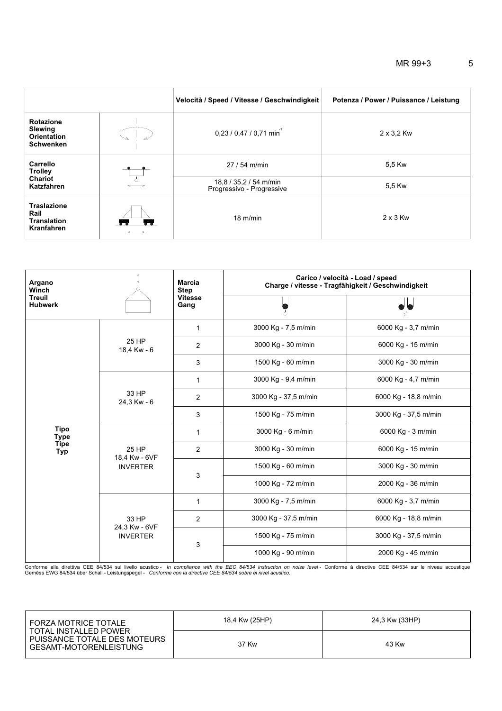|                                                                              | Velocità / Speed / Vitesse / Geschwindigkeit        | Potenza / Power / Puissance / Leistung |  |  |  |  |
|------------------------------------------------------------------------------|-----------------------------------------------------|----------------------------------------|--|--|--|--|
| <b>Rotazione</b><br><b>Slewing</b><br><b>Orientation</b><br><b>Schwenken</b> | $0,23/0,47/0,71$ min <sup>1</sup>                   | $2 \times 3.2$ Kw                      |  |  |  |  |
| Carrello<br><b>Trolley</b>                                                   | 27 / 54 m/min                                       | 5,5 Kw                                 |  |  |  |  |
| <b>Chariot</b><br>Katzfahren                                                 | 18,8 / 35,2 / 54 m/min<br>Progressivo - Progressive | 5,5 Kw                                 |  |  |  |  |
| <b>Traslazione</b><br>Rail<br><b>Translation</b><br><b>Kranfahren</b>        | $18 \text{ m/min}$                                  | $2 \times 3$ Kw                        |  |  |  |  |

| Argano<br>Winch                 |                                           | <b>Marcia</b><br><b>Step</b> | Carico / velocità - Load / speed<br>Charge / vitesse - Tragfähigkeit / Geschwindigkeit |                      |  |  |  |
|---------------------------------|-------------------------------------------|------------------------------|----------------------------------------------------------------------------------------|----------------------|--|--|--|
| <b>Treuil</b><br><b>Hubwerk</b> |                                           | <b>Vitesse</b><br>Gang       | ł,                                                                                     |                      |  |  |  |
|                                 |                                           | 1                            | 3000 Kg - 7,5 m/min                                                                    | 6000 Kg - 3,7 m/min  |  |  |  |
|                                 | 25 HP<br>18,4 Kw - 6                      | 2                            | 3000 Kg - 30 m/min                                                                     | 6000 Kg - 15 m/min   |  |  |  |
|                                 |                                           | 3                            | 1500 Kg - 60 m/min                                                                     | 3000 Kg - 30 m/min   |  |  |  |
|                                 |                                           | 1                            | 3000 Kg - 9,4 m/min                                                                    | 6000 Kg - 4,7 m/min  |  |  |  |
|                                 | 33 HP<br>24,3 Kw - 6                      | $\overline{2}$               | 3000 Kg - 37,5 m/min                                                                   | 6000 Kg - 18,8 m/min |  |  |  |
|                                 |                                           | 3                            | 1500 Kg - 75 m/min                                                                     | 3000 Kg - 37,5 m/min |  |  |  |
| <b>Tipo</b><br><b>Type</b>      | 25 HP<br>18,4 Kw - 6VF<br><b>INVERTER</b> | 1                            | 3000 Kg - 6 m/min                                                                      | 6000 Kg - 3 m/min    |  |  |  |
| <b>Tipe</b><br><b>Typ</b>       |                                           | 2                            | 3000 Kg - 30 m/min                                                                     | 6000 Kg - 15 m/min   |  |  |  |
|                                 |                                           |                              | 1500 Kg - 60 m/min                                                                     | 3000 Kg - 30 m/min   |  |  |  |
|                                 |                                           | 3                            | 1000 Kg - 72 m/min                                                                     | 2000 Kg - 36 m/min   |  |  |  |
|                                 |                                           | 1                            | 3000 Kg - 7,5 m/min                                                                    | 6000 Kg - 3,7 m/min  |  |  |  |
|                                 | 33 HP<br>24,3 Kw - 6VF                    | $\overline{2}$               | 3000 Kg - 37,5 m/min                                                                   | 6000 Kg - 18,8 m/min |  |  |  |
|                                 | <b>INVERTER</b>                           |                              | 1500 Kg - 75 m/min                                                                     | 3000 Kg - 37,5 m/min |  |  |  |
|                                 |                                           | 3                            | 1000 Kg - 90 m/min                                                                     | 2000 Kg - 45 m/min   |  |  |  |

Conforme alla direttiva CEE 84/534 sul livello acustico - *In compliance with the EEC 84/534 instruction on noise level* - Conforme à directive CEE 84/534 sur le niveau acoustique<br>Gemêss EWG 84/534 über Schall - Leistungsp

| FORZA MOTRICE TOTALE! `<br>TOTAL INSTALLED POWER<br>PUISSANCE TOTALE DES MOTEURS<br>GESAMT-MOTORENLEISTUNG | 18,4 Kw (25HP) | 24,3 Kw (33HP) |
|------------------------------------------------------------------------------------------------------------|----------------|----------------|
|                                                                                                            | 37 Kw          | 43 Kw          |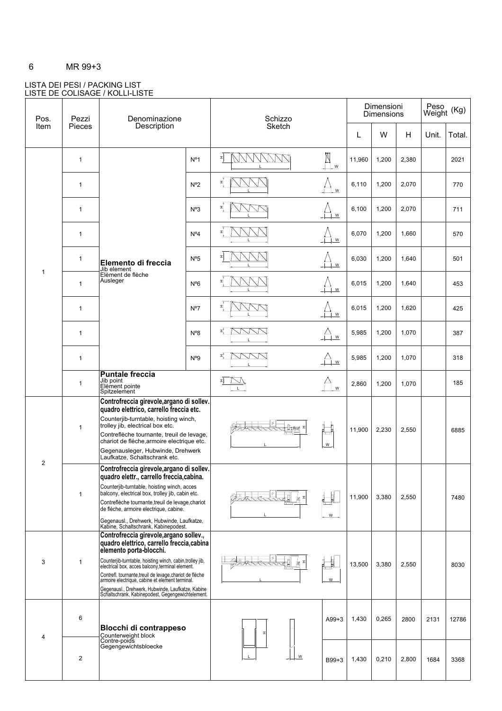### 6 MR 99+3

### LISTA DEI PESI / PACKING LIST LISTE DE COLISAGE / KOLLI-LISTE

| Pos.           | Pezzi         | Denominazione                                                                                                                                                                                                                                                                                                                                                                                                                                            |                  | Schizzo |                            | Dimensioni<br><b>Dimensions</b> |       |       | Peso<br>Weight<br>(Kg) |        |
|----------------|---------------|----------------------------------------------------------------------------------------------------------------------------------------------------------------------------------------------------------------------------------------------------------------------------------------------------------------------------------------------------------------------------------------------------------------------------------------------------------|------------------|---------|----------------------------|---------------------------------|-------|-------|------------------------|--------|
| Item           | <b>Pieces</b> | Description                                                                                                                                                                                                                                                                                                                                                                                                                                              |                  | Sketch  |                            | L                               | W     | н     | Unit.                  | Total. |
|                | $\mathbf{1}$  |                                                                                                                                                                                                                                                                                                                                                                                                                                                          | N <sup>o</sup> 1 | ᅬ       | $\mathbb{R}_{\frac{1}{2}}$ | 11,960                          | 1,200 | 2,380 |                        | 2021   |
|                | $\mathbf{1}$  |                                                                                                                                                                                                                                                                                                                                                                                                                                                          | $N^{\circ}2$     | ᅬ       | W                          | 6,110                           | 1,200 | 2,070 |                        | 770    |
|                | $\mathbf{1}$  |                                                                                                                                                                                                                                                                                                                                                                                                                                                          | $N^o3$           | 뇌       | W                          | 6,100                           | 1,200 | 2,070 |                        | 711    |
|                | $\mathbf{1}$  |                                                                                                                                                                                                                                                                                                                                                                                                                                                          | N <sup>o</sup> 4 |         | W                          | 6,070                           | 1,200 | 1,660 |                        | 570    |
|                | $\mathbf{1}$  | Elemento di freccia<br>Jib element                                                                                                                                                                                                                                                                                                                                                                                                                       | N <sup>o</sup> 5 | 뇌       | W                          | 6,030                           | 1,200 | 1,640 |                        | 501    |
| $\mathbf{1}$   | $\mathbf{1}$  | Elèment de flèche<br>Ausleger                                                                                                                                                                                                                                                                                                                                                                                                                            | $N^{\circ}6$     | I       | W                          | 6,015                           | 1,200 | 1,640 |                        | 453    |
|                | $\mathbf{1}$  |                                                                                                                                                                                                                                                                                                                                                                                                                                                          | N°7              | ᅬ       | W                          | 6,015                           | 1,200 | 1,620 |                        | 425    |
|                | $\mathbf{1}$  |                                                                                                                                                                                                                                                                                                                                                                                                                                                          | $N^08$           | 뇌       | ${\sf W}$                  | 5,985                           | 1,200 | 1,070 |                        | 387    |
|                | $\mathbf{1}$  |                                                                                                                                                                                                                                                                                                                                                                                                                                                          | N <sup>0</sup> 9 | 피       | $\bigoplus_{w}$            | 5,985                           | 1,200 | 1,070 |                        | 318    |
|                | $\mathbf{1}$  | <b>Puntale freccia</b><br>Jib point<br>Elèment pointe<br>Spitzelement                                                                                                                                                                                                                                                                                                                                                                                    |                  | 피       | W                          | 2,860                           | 1,200 | 1,070 |                        | 185    |
|                | $\mathbf{1}$  | Controfreccia girevole, argano di sollev.<br>quadro elettrico, carrello freccia etc.<br>Counterjib-turntable, hoisting winch,<br>trolley jib, electrical box etc.<br>Contreflèche tournante, treuil de levage,<br>chariot de flèche, armoire electrique etc.<br>Gegenausleger, Hubwinde, Drehwerk<br>Laufkatze, Schaltschrank etc.                                                                                                                       |                  |         | $W_{\cdot}$                | 11,900                          | 2,230 | 2,550 |                        | 6885   |
| $\overline{2}$ | $\mathbf{1}$  | Controfreccia girevole, argano di sollev.<br>quadro elettr., carrello freccia, cabina.<br>Counterjib-turntable, hoisting winch, acces<br>balcony, electrical box, trolley jib, cabin etc.<br>Contreflèche tournante, treuil de levage, chariot<br>de flèche, armoire electrique, cabine.<br>Gegenausl., Drehwerk, Hubwinde, Laufkatze,<br>Kabine, Schaltschrank, Kabinepodest.                                                                           |                  |         | W                          | 11,900                          | 3,380 | 2,550 |                        | 7480   |
| 3              | 1             | Controfreccia girevole, argano sollev.,<br>quadro elettrico, carrello freccia, cabina<br>elemento porta-blocchi.<br>Counterjib-turntable, hoisting winch, cabin,trolley jib,<br>electrical box, acces balcony,terminal element.<br>Contrefl. tournante, treuil de levage, chariot de flèche<br>armoire electrique, cabine et element terminal.<br>Gegenausl., Drehwerk, Hubwinde, Laufkatze, Kabine<br>Schaltschrank, Kabinepodest, Gegengewichtelement. |                  |         | W                          | 13,500                          | 3,380 | 2,550 |                        | 8030   |
| $\overline{4}$ | 6             | <b>Blocchi di contrappeso</b>                                                                                                                                                                                                                                                                                                                                                                                                                            |                  |         | $A99 + 3$                  | 1,430                           | 0,265 | 2800  | 2131                   | 12786  |
|                | 2             | Counterweight block<br>Contre-poids<br>Gegengewichtsbloecke                                                                                                                                                                                                                                                                                                                                                                                              |                  | W       | B99+3                      | 1,430                           | 0,210 | 2,800 | 1684                   | 3368   |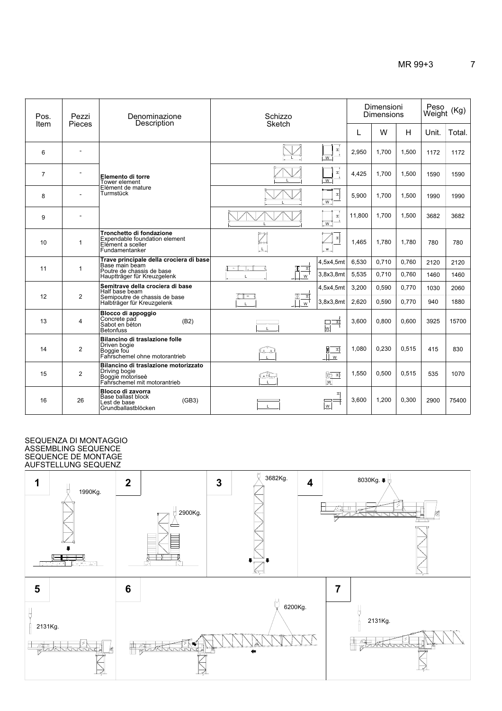| Pos.           | Pezzi          | Denominazione                                                                                                         | Schizzo                       |                        | Dimensioni<br><b>Dimensions</b> | Peso<br>Weight (Kg) |                |              |              |
|----------------|----------------|-----------------------------------------------------------------------------------------------------------------------|-------------------------------|------------------------|---------------------------------|---------------------|----------------|--------------|--------------|
| Item           | Pieces         | Description                                                                                                           | <b>Sketch</b>                 | L                      | W                               | H                   | Unit.          | Total.       |              |
| 6              |                |                                                                                                                       |                               | 피<br>W                 | 2,950                           | 1,700               | 1,500          | 1172         | 1172         |
| $\overline{7}$ |                | Elemento di torre<br>Tower element                                                                                    |                               | ᅬ<br>W                 | 4,425                           | 1.700               | 1.500          | 1590         | 1590         |
| 8              |                | Elèment de mature<br>Turmstück                                                                                        |                               | 뇌<br>$\overline{w}$    | 5.900                           | 1.700               | 1.500          | 1990         | 1990         |
| 9              |                |                                                                                                                       |                               | $\mathbbm{1}$<br>W     | 11,800                          | 1,700               | 1,500          | 3682         | 3682         |
| 10             | $\mathbf{1}$   | Tronchetto di fondazione<br>Expendable foundation element<br>Elément a sceller<br>Fundamentanker                      | $\overline{\mathbf{Z}}$       | 피<br>w                 | 1,465                           | 1,780               | 1,780          | 780          | 780          |
| 11             | $\mathbf{1}$   | Trave principale della crociera di base<br>Base main beam<br>Poutre de chassis de base<br>Hauptträger für Kreuzgelenk | 귘<br>Ш<br>W                   | 4,5x4,5mt<br>3,8x3,8mt | 6,530<br>5,535                  | 0.710<br>0,710      | 0.760<br>0,760 | 2120<br>1460 | 2120<br>1460 |
|                |                | Semitrave della crociera di base                                                                                      |                               | 4,5x4,5mt              | 3,200                           | 0,590               | 0,770          | 1030         | 2060         |
| 12             | 2              | Half base beam<br>Semipoutre de chassis de base<br>Halbträger für Kreuzgelenk                                         | 쾨<br>— ।<br>ж<br>$\mathsf{w}$ | 3,8x3,8mt              | 2,620                           | 0,590               | 0.770          | 940          | 1880         |
| 13             | $\overline{4}$ | Blocco di appoggio<br>Concrete pad<br>(B2)<br>Sabot en béton<br><b>Betonfuss</b>                                      |                               | 회<br>$\overline{w}$    | 3.600                           | 0.800               | 0.600          | 3925         | 15700        |
| 14             | $\overline{2}$ | Bilancino di traslazione folle<br>Driven bogie<br>Boggie fou<br>Fahrschemel ohne motorantrieb                         | لقنقا                         | 킈<br>$\mathbf{1}$<br>w | 1.080                           | 0,230               | 0.515          | 415          | 830          |
| 15             | $\overline{2}$ | Bilancino di traslazione motorizzato<br>Driving bogie<br>Boggie motoriseè<br>Fahrschemel mit motorantrieb             | جقوا                          | कि म<br>w              | 1,550                           | 0,500               | 0,515          | 535          | 1070         |
| 16             | 26             | Blocco di zavorra<br>Base ballast block<br>(GB3)<br>Lest de base<br>Grundballastblöcken                               |                               | 피<br>W                 | 3,600                           | 1,200               | 0,300          | 2900         | 75400        |

### ASSEMBLING SEQUENCE SEQUENCE DE MONTAGE SEQUENZA DI MONTAGGIO AUFSTELLUNG SEQUENZ